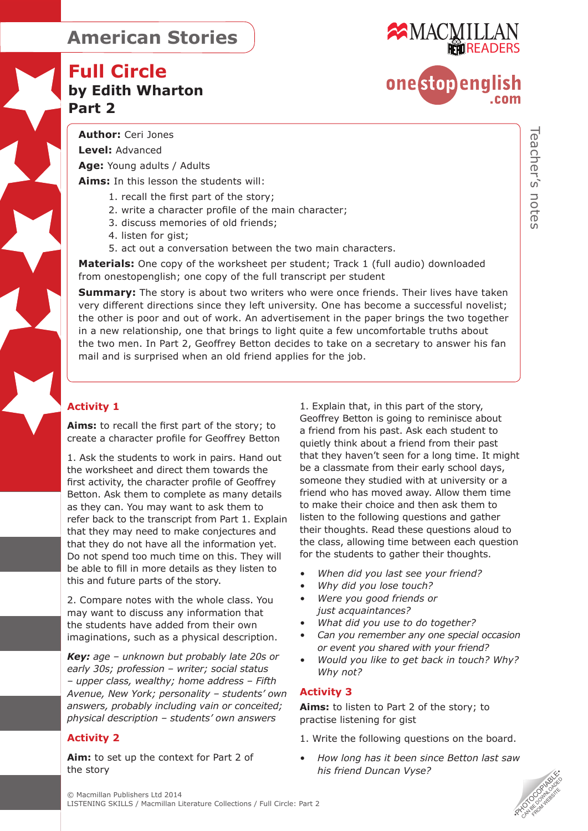# **Full Circle by Edith Wharton Part 2**



# onestopenalish

**Level:** Advanced

**Age:** Young adults / Adults

**Aims:** In this lesson the students will:

- 1. recall the first part of the story;
- 2. write a character profile of the main character;
- 3. discuss memories of old friends;
- 4. listen for gist;
- 5. act out a conversation between the two main characters.

**Materials:** One copy of the worksheet per student; Track 1 (full audio) downloaded from onestopenglish; one copy of the full transcript per student

**Summary:** The story is about two writers who were once friends. Their lives have taken very different directions since they left university. One has become a successful novelist; the other is poor and out of work. An advertisement in the paper brings the two together in a new relationship, one that brings to light quite a few uncomfortable truths about the two men. In Part 2, Geoffrey Betton decides to take on a secretary to answer his fan mail and is surprised when an old friend applies for the job.

### **Activity 1**

**Aims:** to recall the first part of the story; to create a character profile for Geoffrey Betton

1. Ask the students to work in pairs. Hand out the worksheet and direct them towards the first activity, the character profile of Geoffrey Betton. Ask them to complete as many details as they can. You may want to ask them to refer back to the transcript from Part 1. Explain that they may need to make conjectures and that they do not have all the information yet. Do not spend too much time on this. They will be able to fill in more details as they listen to this and future parts of the story.

2. Compare notes with the whole class. You may want to discuss any information that the students have added from their own imaginations, such as a physical description.

*Key: age – unknown but probably late 20s or early 30s; profession – writer; social status – upper class, wealthy; home address – Fifth Avenue, New York; personality – students' own answers, probably including vain or conceited; physical description – students' own answers*

### **Activity 2**

**Aim:** to set up the context for Part 2 of the story

1. Explain that, in this part of the story, Geoffrey Betton is going to reminisce about a friend from his past. Ask each student to quietly think about a friend from their past that they haven't seen for a long time. It might be a classmate from their early school days, someone they studied with at university or a friend who has moved away. Allow them time to make their choice and then ask them to listen to the following questions and gather their thoughts. Read these questions aloud to the class, allowing time between each question for the students to gather their thoughts.

- *• When did you last see your friend?*
- *• Why did you lose touch?*
- *• Were you good friends or just acquaintances?*
- *• What did you use to do together?*
- *• Can you remember any one special occasion or event you shared with your friend?*
- *• Would you like to get back in touch? Why? Why not?*

### **Activity 3**

**Aims:** to listen to Part 2 of the story; to practise listening for gist

- 1. Write the following questions on the board.
- *• How long has it been since Betton last saw his friend Duncan Vyse?*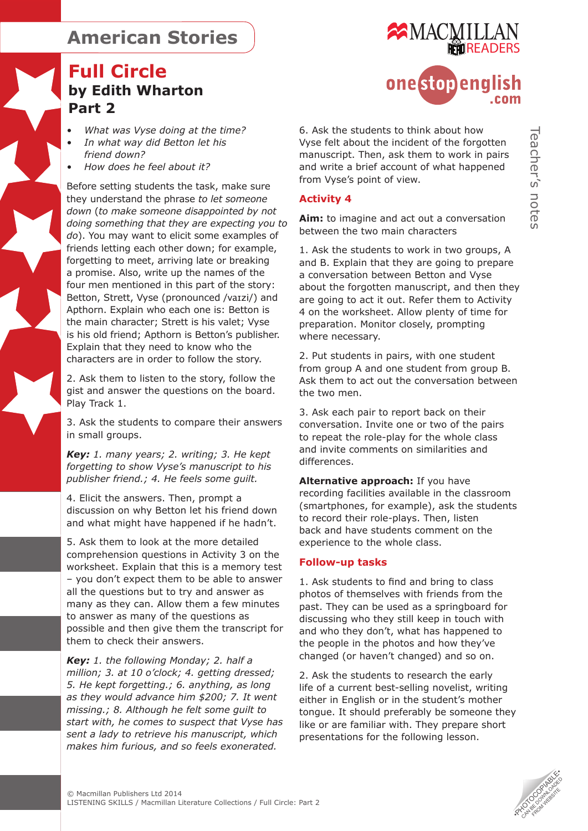# **Full Circle by Edith Wharton Part 2**

- *• What was Vyse doing at the time?*
- *• In what way did Betton let his friend down?*
- *• How does he feel about it?*

Before setting students the task, make sure they understand the phrase *to let someone down* (*to make someone disappointed by not doing something that they are expecting you to do*). You may want to elicit some examples of friends letting each other down; for example, forgetting to meet, arriving late or breaking a promise. Also, write up the names of the four men mentioned in this part of the story: Betton, Strett, Vyse (pronounced /vaɪzi/) and Apthorn. Explain who each one is: Betton is the main character; Strett is his valet; Vyse is his old friend; Apthorn is Betton's publisher. Explain that they need to know who the characters are in order to follow the story.

2. Ask them to listen to the story, follow the gist and answer the questions on the board. Play Track 1.

3. Ask the students to compare their answers in small groups.

*Key: 1. many years; 2. writing; 3. He kept forgetting to show Vyse's manuscript to his publisher friend.; 4. He feels some guilt.* 

4. Elicit the answers. Then, prompt a discussion on why Betton let his friend down and what might have happened if he hadn't.

5. Ask them to look at the more detailed comprehension questions in Activity 3 on the worksheet. Explain that this is a memory test – you don't expect them to be able to answer all the questions but to try and answer as many as they can. Allow them a few minutes to answer as many of the questions as possible and then give them the transcript for them to check their answers.

*Key: 1. the following Monday; 2. half a million; 3. at 10 o'clock; 4. getting dressed; 5. He kept forgetting.; 6. anything, as long as they would advance him \$200; 7. It went missing.; 8. Although he felt some guilt to start with, he comes to suspect that Vyse has sent a lady to retrieve his manuscript, which makes him furious, and so feels exonerated.*



6. Ask the students to think about how Vyse felt about the incident of the forgotten manuscript. Then, ask them to work in pairs and write a brief account of what happened from Vyse's point of view.

#### **Activity 4**

**Aim:** to imagine and act out a conversation between the two main characters

1. Ask the students to work in two groups, A and B. Explain that they are going to prepare a conversation between Betton and Vyse about the forgotten manuscript, and then they are going to act it out. Refer them to Activity 4 on the worksheet. Allow plenty of time for preparation. Monitor closely, prompting where necessary.

2. Put students in pairs, with one student from group A and one student from group B. Ask them to act out the conversation between the two men.

3. Ask each pair to report back on their conversation. Invite one or two of the pairs to repeat the role-play for the whole class and invite comments on similarities and differences.

**Alternative approach:** If you have recording facilities available in the classroom (smartphones, for example), ask the students to record their role-plays. Then, listen back and have students comment on the experience to the whole class.

#### **Follow-up tasks**

1. Ask students to find and bring to class photos of themselves with friends from the past. They can be used as a springboard for discussing who they still keep in touch with and who they don't, what has happened to the people in the photos and how they've changed (or haven't changed) and so on.

2. Ask the students to research the early life of a current best-selling novelist, writing either in English or in the student's mother tongue. It should preferably be someone they like or are familiar with. They prepare short presentations for the following lesson.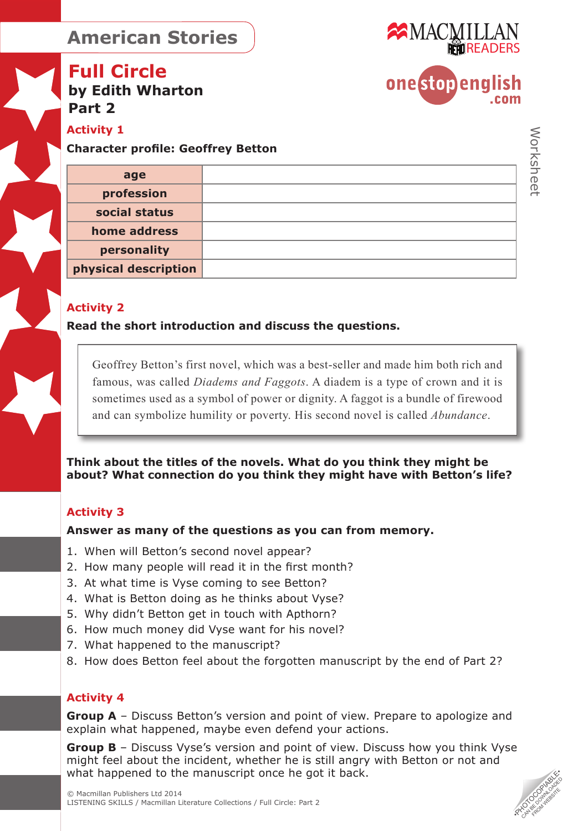

### **Full Circle by Edith Wharton Part 2**

**Activity 1** 

**Character profile: Geoffrey Betton** 

| age                  |  |
|----------------------|--|
| profession           |  |
| social status        |  |
| home address         |  |
| personality          |  |
| physical description |  |

### **Activity 2**

**Read the short introduction and discuss the questions.** 

Geoffrey Betton's first novel, which was a best-seller and made him both rich and famous, was called *Diadems and Faggots*. A diadem is a type of crown and it is sometimes used as a symbol of power or dignity. A faggot is a bundle of firewood and can symbolize humility or poverty. His second novel is called *Abundance*.

**Think about the titles of the novels. What do you think they might be about? What connection do you think they might have with Betton's life?** 

### **Activity 3**

**Answer as many of the questions as you can from memory.** 

- 1. When will Betton's second novel appear?
- 2. How many people will read it in the first month?
- 3. At what time is Vyse coming to see Betton?
- 4. What is Betton doing as he thinks about Vyse?
- 5. Why didn't Betton get in touch with Apthorn?
- 6. How much money did Vyse want for his novel?
- 7. What happened to the manuscript?
- 8. How does Betton feel about the forgotten manuscript by the end of Part 2?

### **Activity 4**

**Group A** – Discuss Betton's version and point of view. Prepare to apologize and explain what happened, maybe even defend your actions.

What happened to the manuscript once he got it back.<br>
© Macmillan Publishers Ltd 2014<br>LISTENING SKILLS / Macmillan Literature Collections / Full Circle: Part 2 **Group B** – Discuss Vyse's version and point of view. Discuss how you think Vyse might feel about the incident, whether he is still angry with Betton or not and

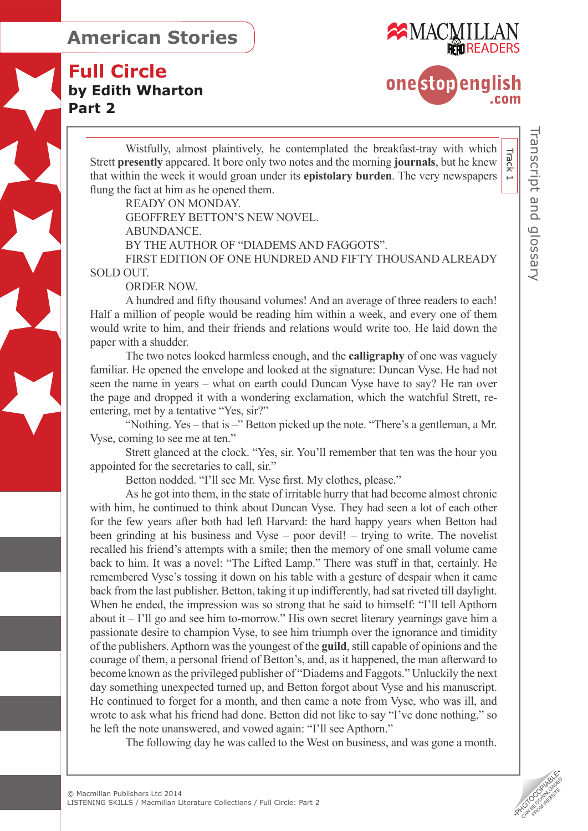



onestopenalish  $com$ 

Wistfully, almost plaintively, he contemplated the breakfast-tray with which Strett **presently** appeared. It bore only two notes and the morning **journals**, but he knew that within the week it would groan under its **epistolary burden**. The very newspapers flung the fact at him as he opened them.

READY ON MONDAY. GEOFFREY BETTON'S NEW NOVEL. ABUNDANCE. BY THE AUTHOR OF "DIADEMS AND FAGGOTS". FIRST EDITION OF ONE HUNDRED AND FIFTY THOUSAND ALREADY SOLD OUT.

ORDER NOW.

A hundred and fifty thousand volumes! And an average of three readers to each! Half a million of people would be reading him within a week, and every one of them would write to him, and their friends and relations would write too. He laid down the paper with a shudder.

The two notes looked harmless enough, and the **calligraphy** of one was vaguely familiar. He opened the envelope and looked at the signature: Duncan Vyse. He had not seen the name in years – what on earth could Duncan Vyse have to say? He ran over the page and dropped it with a wondering exclamation, which the watchful Strett, reentering, met by a tentative "Yes, sir?"

"Nothing. Yes – that is –" Betton picked up the note. "There's a gentleman, a Mr. Vyse, coming to see me at ten."

Strett glanced at the clock. "Yes, sir. You'll remember that ten was the hour you appointed for the secretaries to call, sir."

Betton nodded. "I'll see Mr. Vyse first. My clothes, please."

As he got into them, in the state of irritable hurry that had become almost chronic with him, he continued to think about Duncan Vyse. They had seen a lot of each other for the few years after both had left Harvard: the hard happy years when Betton had been grinding at his business and Vyse – poor devil! – trying to write. The novelist recalled his friend's attempts with a smile; then the memory of one small volume came back to him. It was a novel: "The Lifted Lamp." There was stuff in that, certainly. He remembered Vyse's tossing it down on his table with a gesture of despair when it came back from the last publisher. Betton, taking it up indifferently, had sat riveted till daylight. When he ended, the impression was so strong that he said to himself: "I'll tell Apthorn" about it – I'll go and see him to-morrow." His own secret literary yearnings gave him a passionate desire to champion Vyse, to see him triumph over the ignorance and timidity of the publishers. Apthorn was the youngest of the **guild**, still capable of opinions and the courage of them, a personal friend of Betton's, and, as it happened, the man afterward to become known as the privileged publisher of "Diadems and Faggots." Unluckily the next day something unexpected turned up, and Betton forgot about Vyse and his manuscript. He continued to forget for a month, and then came a note from Vyse, who was ill, and wrote to ask what his friend had done. Betton did not like to say "I've done nothing," so he left the note unanswered, and vowed again: "I'll see Apthorn."

The following day he was called to the West on business, and was gone a month.

Track 1